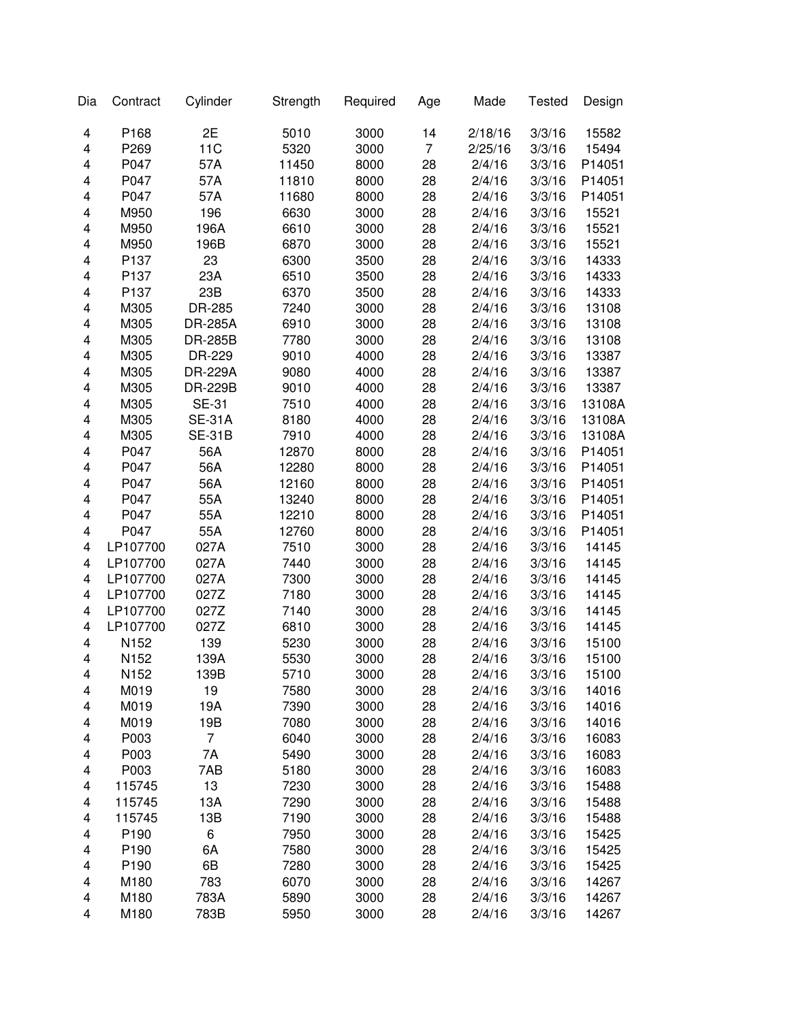| P168<br>2E<br>5010<br>3000<br>14<br>2/18/16<br>3/3/16<br>15582<br>4<br>11C<br>P269<br>5320<br>3000<br>$\overline{7}$<br>2/25/16<br>3/3/16<br>15494<br>4<br>P047<br>57A<br>8000<br>28<br>3/3/16<br>P14051<br>4<br>11450<br>2/4/16<br>P047<br>57A<br>28<br>3/3/16<br>4<br>11810<br>8000<br>2/4/16<br>P14051<br>P047<br>57A<br>8000<br>28<br>3/3/16<br>4<br>11680<br>2/4/16<br>P14051<br>M950<br>196<br>3000<br>28<br>3/3/16<br>4<br>6630<br>2/4/16<br>15521<br>M950<br>196A<br>6610<br>3000<br>28<br>3/3/16<br>15521<br>4<br>2/4/16<br>M950<br>6870<br>3000<br>28<br>3/3/16<br>4<br>196B<br>2/4/16<br>15521<br>P137<br>23<br>6300<br>3500<br>28<br>3/3/16<br>4<br>2/4/16<br>14333<br>P137<br>23A<br>6510<br>3500<br>28<br>3/3/16<br>4<br>2/4/16<br>14333<br>P137<br>23B<br>6370<br>28<br>2/4/16<br>3/3/16<br>4<br>3500<br>14333<br>M305<br>7240<br>28<br>2/4/16<br>3/3/16<br>4<br>DR-285<br>3000<br>13108<br>M305<br>28<br>2/4/16<br>3/3/16<br>4<br><b>DR-285A</b><br>6910<br>3000<br>13108<br>4<br>M305<br>28<br>2/4/16<br>3/3/16<br><b>DR-285B</b><br>7780<br>3000<br>13108<br>4<br>M305<br>DR-229<br>9010<br>4000<br>28<br>2/4/16<br>3/3/16<br>13387<br>4<br>M305<br>DR-229A<br>9080<br>28<br>3/3/16<br>13387<br>4000<br>2/4/16<br>4<br>DR-229B<br>9010<br>28<br>2/4/16<br>3/3/16<br>13387<br>M305<br>4000<br>4<br>M305<br><b>SE-31</b><br>7510<br>4000<br>28<br>2/4/16<br>3/3/16<br>13108A<br>M305<br><b>SE-31A</b><br>8180<br>4000<br>28<br>2/4/16<br>3/3/16<br>4<br>13108A<br><b>SE-31B</b><br>4000<br>28<br>2/4/16<br>3/3/16<br>13108A<br>4<br>M305<br>7910<br>P047<br>56A<br>8000<br>28<br>2/4/16<br>3/3/16<br>P14051<br>4<br>12870<br>P047<br>56A<br>8000<br>28<br>2/4/16<br>3/3/16<br>P14051<br>4<br>12280<br>4<br>P047<br>56A<br>8000<br>28<br>2/4/16<br>3/3/16<br>P14051<br>12160<br>P047<br>55A<br>8000<br>28<br>2/4/16<br>3/3/16<br>P14051<br>4<br>13240<br>4<br>P047<br>55A<br>8000<br>28<br>2/4/16<br>3/3/16<br>P14051<br>12210<br>P047<br>55A<br>8000<br>28<br>2/4/16<br>3/3/16<br>4<br>12760<br>P14051<br>LP107700<br>027A<br>7510<br>3000<br>28<br>2/4/16<br>3/3/16<br>14145<br>4<br>$\overline{\mathbf{4}}$<br>LP107700<br>027A<br>7440<br>3000<br>28<br>2/4/16<br>3/3/16<br>14145<br>$\overline{\mathbf{4}}$<br>LP107700<br>027A<br>7300<br>28<br>2/4/16<br>3/3/16<br>14145<br>3000<br>LP107700<br>027Z<br>7180<br>28<br>2/4/16<br>3/3/16<br>4<br>3000<br>14145<br>$\overline{\mathbf{4}}$<br>LP107700<br>027Z<br>7140<br>28<br>2/4/16<br>3/3/16<br>3000<br>14145<br>4<br>LP107700<br>027Z<br>6810<br>3000<br>28<br>2/4/16<br>3/3/16<br>14145<br>139<br>4<br>N152<br>5230<br>28<br>3/3/16<br>3000<br>2/4/16<br>15100<br>N152<br>139A<br>4<br>5530<br>3000<br>28<br>2/4/16<br>3/3/16<br>15100<br>2/4/16<br>3/3/16<br>N152<br>139B<br>5710<br>15100<br>3000<br>28<br>4<br>3/3/16<br>M019<br>19<br>7580<br>3000<br>28<br>2/4/16<br>14016<br>4<br>M019<br>19A<br>28<br>2/4/16<br>3/3/16<br>7390<br>3000<br>14016<br>4<br>19B<br>28<br>M019<br>7080<br>3000<br>2/4/16<br>3/3/16<br>14016<br>4<br>P003<br>7<br>3000<br>28<br>3/3/16<br>16083<br>6040<br>2/4/16<br>4<br>P003<br>7A<br>5490<br>3000<br>28<br>3/3/16<br>16083<br>4<br>2/4/16<br>P003<br>7AB<br>3000<br>28<br>3/3/16<br>16083<br>4<br>5180<br>2/4/16<br>13<br>3000<br>28<br>3/3/16<br>4<br>115745<br>7230<br>2/4/16<br>15488<br>13A<br>3000<br>28<br>3/3/16<br>4<br>115745<br>7290<br>2/4/16<br>15488<br>13B<br>7190<br>28<br>2/4/16<br>3/3/16<br>4<br>115745<br>3000<br>15488<br>6<br>P <sub>190</sub><br>28<br>3/3/16<br>4<br>7950<br>3000<br>2/4/16<br>15425<br>P190<br>6A<br>7580<br>3000<br>28<br>2/4/16<br>3/3/16<br>4<br>15425<br>6B<br>P190<br>7280<br>28<br>3/3/16<br>4<br>3000<br>2/4/16<br>15425<br>M180<br>783<br>28<br>3/3/16<br>4<br>6070<br>3000<br>2/4/16<br>14267<br>M180<br>783A<br>5890<br>28<br>3/3/16<br>4<br>3000<br>2/4/16<br>14267<br>M180<br>783B<br>28<br>2/4/16<br>3/3/16<br>4<br>5950<br>3000<br>14267 | Dia | Contract | Cylinder | Strength | Required | Age | Made | <b>Tested</b> | Design |
|-------------------------------------------------------------------------------------------------------------------------------------------------------------------------------------------------------------------------------------------------------------------------------------------------------------------------------------------------------------------------------------------------------------------------------------------------------------------------------------------------------------------------------------------------------------------------------------------------------------------------------------------------------------------------------------------------------------------------------------------------------------------------------------------------------------------------------------------------------------------------------------------------------------------------------------------------------------------------------------------------------------------------------------------------------------------------------------------------------------------------------------------------------------------------------------------------------------------------------------------------------------------------------------------------------------------------------------------------------------------------------------------------------------------------------------------------------------------------------------------------------------------------------------------------------------------------------------------------------------------------------------------------------------------------------------------------------------------------------------------------------------------------------------------------------------------------------------------------------------------------------------------------------------------------------------------------------------------------------------------------------------------------------------------------------------------------------------------------------------------------------------------------------------------------------------------------------------------------------------------------------------------------------------------------------------------------------------------------------------------------------------------------------------------------------------------------------------------------------------------------------------------------------------------------------------------------------------------------------------------------------------------------------------------------------------------------------------------------------------------------------------------------------------------------------------------------------------------------------------------------------------------------------------------------------------------------------------------------------------------------------------------------------------------------------------------------------------------------------------------------------------------------------------------------------------------------------------------------------------------------------------------------------------------------------------------------------------------------------------------------------------------------------------------------------------------------------------------------------------------------------------------------------------------------------------------------------------------------------------------------------------------------------------------------------------------------------------------------------------------------------------------------------------------------------------------------------------------------------------------------------------------------------------|-----|----------|----------|----------|----------|-----|------|---------------|--------|
|                                                                                                                                                                                                                                                                                                                                                                                                                                                                                                                                                                                                                                                                                                                                                                                                                                                                                                                                                                                                                                                                                                                                                                                                                                                                                                                                                                                                                                                                                                                                                                                                                                                                                                                                                                                                                                                                                                                                                                                                                                                                                                                                                                                                                                                                                                                                                                                                                                                                                                                                                                                                                                                                                                                                                                                                                                                                                                                                                                                                                                                                                                                                                                                                                                                                                                                                                                                                                                                                                                                                                                                                                                                                                                                                                                                                                                                                                                             |     |          |          |          |          |     |      |               |        |
|                                                                                                                                                                                                                                                                                                                                                                                                                                                                                                                                                                                                                                                                                                                                                                                                                                                                                                                                                                                                                                                                                                                                                                                                                                                                                                                                                                                                                                                                                                                                                                                                                                                                                                                                                                                                                                                                                                                                                                                                                                                                                                                                                                                                                                                                                                                                                                                                                                                                                                                                                                                                                                                                                                                                                                                                                                                                                                                                                                                                                                                                                                                                                                                                                                                                                                                                                                                                                                                                                                                                                                                                                                                                                                                                                                                                                                                                                                             |     |          |          |          |          |     |      |               |        |
|                                                                                                                                                                                                                                                                                                                                                                                                                                                                                                                                                                                                                                                                                                                                                                                                                                                                                                                                                                                                                                                                                                                                                                                                                                                                                                                                                                                                                                                                                                                                                                                                                                                                                                                                                                                                                                                                                                                                                                                                                                                                                                                                                                                                                                                                                                                                                                                                                                                                                                                                                                                                                                                                                                                                                                                                                                                                                                                                                                                                                                                                                                                                                                                                                                                                                                                                                                                                                                                                                                                                                                                                                                                                                                                                                                                                                                                                                                             |     |          |          |          |          |     |      |               |        |
|                                                                                                                                                                                                                                                                                                                                                                                                                                                                                                                                                                                                                                                                                                                                                                                                                                                                                                                                                                                                                                                                                                                                                                                                                                                                                                                                                                                                                                                                                                                                                                                                                                                                                                                                                                                                                                                                                                                                                                                                                                                                                                                                                                                                                                                                                                                                                                                                                                                                                                                                                                                                                                                                                                                                                                                                                                                                                                                                                                                                                                                                                                                                                                                                                                                                                                                                                                                                                                                                                                                                                                                                                                                                                                                                                                                                                                                                                                             |     |          |          |          |          |     |      |               |        |
|                                                                                                                                                                                                                                                                                                                                                                                                                                                                                                                                                                                                                                                                                                                                                                                                                                                                                                                                                                                                                                                                                                                                                                                                                                                                                                                                                                                                                                                                                                                                                                                                                                                                                                                                                                                                                                                                                                                                                                                                                                                                                                                                                                                                                                                                                                                                                                                                                                                                                                                                                                                                                                                                                                                                                                                                                                                                                                                                                                                                                                                                                                                                                                                                                                                                                                                                                                                                                                                                                                                                                                                                                                                                                                                                                                                                                                                                                                             |     |          |          |          |          |     |      |               |        |
|                                                                                                                                                                                                                                                                                                                                                                                                                                                                                                                                                                                                                                                                                                                                                                                                                                                                                                                                                                                                                                                                                                                                                                                                                                                                                                                                                                                                                                                                                                                                                                                                                                                                                                                                                                                                                                                                                                                                                                                                                                                                                                                                                                                                                                                                                                                                                                                                                                                                                                                                                                                                                                                                                                                                                                                                                                                                                                                                                                                                                                                                                                                                                                                                                                                                                                                                                                                                                                                                                                                                                                                                                                                                                                                                                                                                                                                                                                             |     |          |          |          |          |     |      |               |        |
|                                                                                                                                                                                                                                                                                                                                                                                                                                                                                                                                                                                                                                                                                                                                                                                                                                                                                                                                                                                                                                                                                                                                                                                                                                                                                                                                                                                                                                                                                                                                                                                                                                                                                                                                                                                                                                                                                                                                                                                                                                                                                                                                                                                                                                                                                                                                                                                                                                                                                                                                                                                                                                                                                                                                                                                                                                                                                                                                                                                                                                                                                                                                                                                                                                                                                                                                                                                                                                                                                                                                                                                                                                                                                                                                                                                                                                                                                                             |     |          |          |          |          |     |      |               |        |
|                                                                                                                                                                                                                                                                                                                                                                                                                                                                                                                                                                                                                                                                                                                                                                                                                                                                                                                                                                                                                                                                                                                                                                                                                                                                                                                                                                                                                                                                                                                                                                                                                                                                                                                                                                                                                                                                                                                                                                                                                                                                                                                                                                                                                                                                                                                                                                                                                                                                                                                                                                                                                                                                                                                                                                                                                                                                                                                                                                                                                                                                                                                                                                                                                                                                                                                                                                                                                                                                                                                                                                                                                                                                                                                                                                                                                                                                                                             |     |          |          |          |          |     |      |               |        |
|                                                                                                                                                                                                                                                                                                                                                                                                                                                                                                                                                                                                                                                                                                                                                                                                                                                                                                                                                                                                                                                                                                                                                                                                                                                                                                                                                                                                                                                                                                                                                                                                                                                                                                                                                                                                                                                                                                                                                                                                                                                                                                                                                                                                                                                                                                                                                                                                                                                                                                                                                                                                                                                                                                                                                                                                                                                                                                                                                                                                                                                                                                                                                                                                                                                                                                                                                                                                                                                                                                                                                                                                                                                                                                                                                                                                                                                                                                             |     |          |          |          |          |     |      |               |        |
|                                                                                                                                                                                                                                                                                                                                                                                                                                                                                                                                                                                                                                                                                                                                                                                                                                                                                                                                                                                                                                                                                                                                                                                                                                                                                                                                                                                                                                                                                                                                                                                                                                                                                                                                                                                                                                                                                                                                                                                                                                                                                                                                                                                                                                                                                                                                                                                                                                                                                                                                                                                                                                                                                                                                                                                                                                                                                                                                                                                                                                                                                                                                                                                                                                                                                                                                                                                                                                                                                                                                                                                                                                                                                                                                                                                                                                                                                                             |     |          |          |          |          |     |      |               |        |
|                                                                                                                                                                                                                                                                                                                                                                                                                                                                                                                                                                                                                                                                                                                                                                                                                                                                                                                                                                                                                                                                                                                                                                                                                                                                                                                                                                                                                                                                                                                                                                                                                                                                                                                                                                                                                                                                                                                                                                                                                                                                                                                                                                                                                                                                                                                                                                                                                                                                                                                                                                                                                                                                                                                                                                                                                                                                                                                                                                                                                                                                                                                                                                                                                                                                                                                                                                                                                                                                                                                                                                                                                                                                                                                                                                                                                                                                                                             |     |          |          |          |          |     |      |               |        |
|                                                                                                                                                                                                                                                                                                                                                                                                                                                                                                                                                                                                                                                                                                                                                                                                                                                                                                                                                                                                                                                                                                                                                                                                                                                                                                                                                                                                                                                                                                                                                                                                                                                                                                                                                                                                                                                                                                                                                                                                                                                                                                                                                                                                                                                                                                                                                                                                                                                                                                                                                                                                                                                                                                                                                                                                                                                                                                                                                                                                                                                                                                                                                                                                                                                                                                                                                                                                                                                                                                                                                                                                                                                                                                                                                                                                                                                                                                             |     |          |          |          |          |     |      |               |        |
|                                                                                                                                                                                                                                                                                                                                                                                                                                                                                                                                                                                                                                                                                                                                                                                                                                                                                                                                                                                                                                                                                                                                                                                                                                                                                                                                                                                                                                                                                                                                                                                                                                                                                                                                                                                                                                                                                                                                                                                                                                                                                                                                                                                                                                                                                                                                                                                                                                                                                                                                                                                                                                                                                                                                                                                                                                                                                                                                                                                                                                                                                                                                                                                                                                                                                                                                                                                                                                                                                                                                                                                                                                                                                                                                                                                                                                                                                                             |     |          |          |          |          |     |      |               |        |
|                                                                                                                                                                                                                                                                                                                                                                                                                                                                                                                                                                                                                                                                                                                                                                                                                                                                                                                                                                                                                                                                                                                                                                                                                                                                                                                                                                                                                                                                                                                                                                                                                                                                                                                                                                                                                                                                                                                                                                                                                                                                                                                                                                                                                                                                                                                                                                                                                                                                                                                                                                                                                                                                                                                                                                                                                                                                                                                                                                                                                                                                                                                                                                                                                                                                                                                                                                                                                                                                                                                                                                                                                                                                                                                                                                                                                                                                                                             |     |          |          |          |          |     |      |               |        |
|                                                                                                                                                                                                                                                                                                                                                                                                                                                                                                                                                                                                                                                                                                                                                                                                                                                                                                                                                                                                                                                                                                                                                                                                                                                                                                                                                                                                                                                                                                                                                                                                                                                                                                                                                                                                                                                                                                                                                                                                                                                                                                                                                                                                                                                                                                                                                                                                                                                                                                                                                                                                                                                                                                                                                                                                                                                                                                                                                                                                                                                                                                                                                                                                                                                                                                                                                                                                                                                                                                                                                                                                                                                                                                                                                                                                                                                                                                             |     |          |          |          |          |     |      |               |        |
|                                                                                                                                                                                                                                                                                                                                                                                                                                                                                                                                                                                                                                                                                                                                                                                                                                                                                                                                                                                                                                                                                                                                                                                                                                                                                                                                                                                                                                                                                                                                                                                                                                                                                                                                                                                                                                                                                                                                                                                                                                                                                                                                                                                                                                                                                                                                                                                                                                                                                                                                                                                                                                                                                                                                                                                                                                                                                                                                                                                                                                                                                                                                                                                                                                                                                                                                                                                                                                                                                                                                                                                                                                                                                                                                                                                                                                                                                                             |     |          |          |          |          |     |      |               |        |
|                                                                                                                                                                                                                                                                                                                                                                                                                                                                                                                                                                                                                                                                                                                                                                                                                                                                                                                                                                                                                                                                                                                                                                                                                                                                                                                                                                                                                                                                                                                                                                                                                                                                                                                                                                                                                                                                                                                                                                                                                                                                                                                                                                                                                                                                                                                                                                                                                                                                                                                                                                                                                                                                                                                                                                                                                                                                                                                                                                                                                                                                                                                                                                                                                                                                                                                                                                                                                                                                                                                                                                                                                                                                                                                                                                                                                                                                                                             |     |          |          |          |          |     |      |               |        |
|                                                                                                                                                                                                                                                                                                                                                                                                                                                                                                                                                                                                                                                                                                                                                                                                                                                                                                                                                                                                                                                                                                                                                                                                                                                                                                                                                                                                                                                                                                                                                                                                                                                                                                                                                                                                                                                                                                                                                                                                                                                                                                                                                                                                                                                                                                                                                                                                                                                                                                                                                                                                                                                                                                                                                                                                                                                                                                                                                                                                                                                                                                                                                                                                                                                                                                                                                                                                                                                                                                                                                                                                                                                                                                                                                                                                                                                                                                             |     |          |          |          |          |     |      |               |        |
|                                                                                                                                                                                                                                                                                                                                                                                                                                                                                                                                                                                                                                                                                                                                                                                                                                                                                                                                                                                                                                                                                                                                                                                                                                                                                                                                                                                                                                                                                                                                                                                                                                                                                                                                                                                                                                                                                                                                                                                                                                                                                                                                                                                                                                                                                                                                                                                                                                                                                                                                                                                                                                                                                                                                                                                                                                                                                                                                                                                                                                                                                                                                                                                                                                                                                                                                                                                                                                                                                                                                                                                                                                                                                                                                                                                                                                                                                                             |     |          |          |          |          |     |      |               |        |
|                                                                                                                                                                                                                                                                                                                                                                                                                                                                                                                                                                                                                                                                                                                                                                                                                                                                                                                                                                                                                                                                                                                                                                                                                                                                                                                                                                                                                                                                                                                                                                                                                                                                                                                                                                                                                                                                                                                                                                                                                                                                                                                                                                                                                                                                                                                                                                                                                                                                                                                                                                                                                                                                                                                                                                                                                                                                                                                                                                                                                                                                                                                                                                                                                                                                                                                                                                                                                                                                                                                                                                                                                                                                                                                                                                                                                                                                                                             |     |          |          |          |          |     |      |               |        |
|                                                                                                                                                                                                                                                                                                                                                                                                                                                                                                                                                                                                                                                                                                                                                                                                                                                                                                                                                                                                                                                                                                                                                                                                                                                                                                                                                                                                                                                                                                                                                                                                                                                                                                                                                                                                                                                                                                                                                                                                                                                                                                                                                                                                                                                                                                                                                                                                                                                                                                                                                                                                                                                                                                                                                                                                                                                                                                                                                                                                                                                                                                                                                                                                                                                                                                                                                                                                                                                                                                                                                                                                                                                                                                                                                                                                                                                                                                             |     |          |          |          |          |     |      |               |        |
|                                                                                                                                                                                                                                                                                                                                                                                                                                                                                                                                                                                                                                                                                                                                                                                                                                                                                                                                                                                                                                                                                                                                                                                                                                                                                                                                                                                                                                                                                                                                                                                                                                                                                                                                                                                                                                                                                                                                                                                                                                                                                                                                                                                                                                                                                                                                                                                                                                                                                                                                                                                                                                                                                                                                                                                                                                                                                                                                                                                                                                                                                                                                                                                                                                                                                                                                                                                                                                                                                                                                                                                                                                                                                                                                                                                                                                                                                                             |     |          |          |          |          |     |      |               |        |
|                                                                                                                                                                                                                                                                                                                                                                                                                                                                                                                                                                                                                                                                                                                                                                                                                                                                                                                                                                                                                                                                                                                                                                                                                                                                                                                                                                                                                                                                                                                                                                                                                                                                                                                                                                                                                                                                                                                                                                                                                                                                                                                                                                                                                                                                                                                                                                                                                                                                                                                                                                                                                                                                                                                                                                                                                                                                                                                                                                                                                                                                                                                                                                                                                                                                                                                                                                                                                                                                                                                                                                                                                                                                                                                                                                                                                                                                                                             |     |          |          |          |          |     |      |               |        |
|                                                                                                                                                                                                                                                                                                                                                                                                                                                                                                                                                                                                                                                                                                                                                                                                                                                                                                                                                                                                                                                                                                                                                                                                                                                                                                                                                                                                                                                                                                                                                                                                                                                                                                                                                                                                                                                                                                                                                                                                                                                                                                                                                                                                                                                                                                                                                                                                                                                                                                                                                                                                                                                                                                                                                                                                                                                                                                                                                                                                                                                                                                                                                                                                                                                                                                                                                                                                                                                                                                                                                                                                                                                                                                                                                                                                                                                                                                             |     |          |          |          |          |     |      |               |        |
|                                                                                                                                                                                                                                                                                                                                                                                                                                                                                                                                                                                                                                                                                                                                                                                                                                                                                                                                                                                                                                                                                                                                                                                                                                                                                                                                                                                                                                                                                                                                                                                                                                                                                                                                                                                                                                                                                                                                                                                                                                                                                                                                                                                                                                                                                                                                                                                                                                                                                                                                                                                                                                                                                                                                                                                                                                                                                                                                                                                                                                                                                                                                                                                                                                                                                                                                                                                                                                                                                                                                                                                                                                                                                                                                                                                                                                                                                                             |     |          |          |          |          |     |      |               |        |
|                                                                                                                                                                                                                                                                                                                                                                                                                                                                                                                                                                                                                                                                                                                                                                                                                                                                                                                                                                                                                                                                                                                                                                                                                                                                                                                                                                                                                                                                                                                                                                                                                                                                                                                                                                                                                                                                                                                                                                                                                                                                                                                                                                                                                                                                                                                                                                                                                                                                                                                                                                                                                                                                                                                                                                                                                                                                                                                                                                                                                                                                                                                                                                                                                                                                                                                                                                                                                                                                                                                                                                                                                                                                                                                                                                                                                                                                                                             |     |          |          |          |          |     |      |               |        |
|                                                                                                                                                                                                                                                                                                                                                                                                                                                                                                                                                                                                                                                                                                                                                                                                                                                                                                                                                                                                                                                                                                                                                                                                                                                                                                                                                                                                                                                                                                                                                                                                                                                                                                                                                                                                                                                                                                                                                                                                                                                                                                                                                                                                                                                                                                                                                                                                                                                                                                                                                                                                                                                                                                                                                                                                                                                                                                                                                                                                                                                                                                                                                                                                                                                                                                                                                                                                                                                                                                                                                                                                                                                                                                                                                                                                                                                                                                             |     |          |          |          |          |     |      |               |        |
|                                                                                                                                                                                                                                                                                                                                                                                                                                                                                                                                                                                                                                                                                                                                                                                                                                                                                                                                                                                                                                                                                                                                                                                                                                                                                                                                                                                                                                                                                                                                                                                                                                                                                                                                                                                                                                                                                                                                                                                                                                                                                                                                                                                                                                                                                                                                                                                                                                                                                                                                                                                                                                                                                                                                                                                                                                                                                                                                                                                                                                                                                                                                                                                                                                                                                                                                                                                                                                                                                                                                                                                                                                                                                                                                                                                                                                                                                                             |     |          |          |          |          |     |      |               |        |
|                                                                                                                                                                                                                                                                                                                                                                                                                                                                                                                                                                                                                                                                                                                                                                                                                                                                                                                                                                                                                                                                                                                                                                                                                                                                                                                                                                                                                                                                                                                                                                                                                                                                                                                                                                                                                                                                                                                                                                                                                                                                                                                                                                                                                                                                                                                                                                                                                                                                                                                                                                                                                                                                                                                                                                                                                                                                                                                                                                                                                                                                                                                                                                                                                                                                                                                                                                                                                                                                                                                                                                                                                                                                                                                                                                                                                                                                                                             |     |          |          |          |          |     |      |               |        |
|                                                                                                                                                                                                                                                                                                                                                                                                                                                                                                                                                                                                                                                                                                                                                                                                                                                                                                                                                                                                                                                                                                                                                                                                                                                                                                                                                                                                                                                                                                                                                                                                                                                                                                                                                                                                                                                                                                                                                                                                                                                                                                                                                                                                                                                                                                                                                                                                                                                                                                                                                                                                                                                                                                                                                                                                                                                                                                                                                                                                                                                                                                                                                                                                                                                                                                                                                                                                                                                                                                                                                                                                                                                                                                                                                                                                                                                                                                             |     |          |          |          |          |     |      |               |        |
|                                                                                                                                                                                                                                                                                                                                                                                                                                                                                                                                                                                                                                                                                                                                                                                                                                                                                                                                                                                                                                                                                                                                                                                                                                                                                                                                                                                                                                                                                                                                                                                                                                                                                                                                                                                                                                                                                                                                                                                                                                                                                                                                                                                                                                                                                                                                                                                                                                                                                                                                                                                                                                                                                                                                                                                                                                                                                                                                                                                                                                                                                                                                                                                                                                                                                                                                                                                                                                                                                                                                                                                                                                                                                                                                                                                                                                                                                                             |     |          |          |          |          |     |      |               |        |
|                                                                                                                                                                                                                                                                                                                                                                                                                                                                                                                                                                                                                                                                                                                                                                                                                                                                                                                                                                                                                                                                                                                                                                                                                                                                                                                                                                                                                                                                                                                                                                                                                                                                                                                                                                                                                                                                                                                                                                                                                                                                                                                                                                                                                                                                                                                                                                                                                                                                                                                                                                                                                                                                                                                                                                                                                                                                                                                                                                                                                                                                                                                                                                                                                                                                                                                                                                                                                                                                                                                                                                                                                                                                                                                                                                                                                                                                                                             |     |          |          |          |          |     |      |               |        |
|                                                                                                                                                                                                                                                                                                                                                                                                                                                                                                                                                                                                                                                                                                                                                                                                                                                                                                                                                                                                                                                                                                                                                                                                                                                                                                                                                                                                                                                                                                                                                                                                                                                                                                                                                                                                                                                                                                                                                                                                                                                                                                                                                                                                                                                                                                                                                                                                                                                                                                                                                                                                                                                                                                                                                                                                                                                                                                                                                                                                                                                                                                                                                                                                                                                                                                                                                                                                                                                                                                                                                                                                                                                                                                                                                                                                                                                                                                             |     |          |          |          |          |     |      |               |        |
|                                                                                                                                                                                                                                                                                                                                                                                                                                                                                                                                                                                                                                                                                                                                                                                                                                                                                                                                                                                                                                                                                                                                                                                                                                                                                                                                                                                                                                                                                                                                                                                                                                                                                                                                                                                                                                                                                                                                                                                                                                                                                                                                                                                                                                                                                                                                                                                                                                                                                                                                                                                                                                                                                                                                                                                                                                                                                                                                                                                                                                                                                                                                                                                                                                                                                                                                                                                                                                                                                                                                                                                                                                                                                                                                                                                                                                                                                                             |     |          |          |          |          |     |      |               |        |
|                                                                                                                                                                                                                                                                                                                                                                                                                                                                                                                                                                                                                                                                                                                                                                                                                                                                                                                                                                                                                                                                                                                                                                                                                                                                                                                                                                                                                                                                                                                                                                                                                                                                                                                                                                                                                                                                                                                                                                                                                                                                                                                                                                                                                                                                                                                                                                                                                                                                                                                                                                                                                                                                                                                                                                                                                                                                                                                                                                                                                                                                                                                                                                                                                                                                                                                                                                                                                                                                                                                                                                                                                                                                                                                                                                                                                                                                                                             |     |          |          |          |          |     |      |               |        |
|                                                                                                                                                                                                                                                                                                                                                                                                                                                                                                                                                                                                                                                                                                                                                                                                                                                                                                                                                                                                                                                                                                                                                                                                                                                                                                                                                                                                                                                                                                                                                                                                                                                                                                                                                                                                                                                                                                                                                                                                                                                                                                                                                                                                                                                                                                                                                                                                                                                                                                                                                                                                                                                                                                                                                                                                                                                                                                                                                                                                                                                                                                                                                                                                                                                                                                                                                                                                                                                                                                                                                                                                                                                                                                                                                                                                                                                                                                             |     |          |          |          |          |     |      |               |        |
|                                                                                                                                                                                                                                                                                                                                                                                                                                                                                                                                                                                                                                                                                                                                                                                                                                                                                                                                                                                                                                                                                                                                                                                                                                                                                                                                                                                                                                                                                                                                                                                                                                                                                                                                                                                                                                                                                                                                                                                                                                                                                                                                                                                                                                                                                                                                                                                                                                                                                                                                                                                                                                                                                                                                                                                                                                                                                                                                                                                                                                                                                                                                                                                                                                                                                                                                                                                                                                                                                                                                                                                                                                                                                                                                                                                                                                                                                                             |     |          |          |          |          |     |      |               |        |
|                                                                                                                                                                                                                                                                                                                                                                                                                                                                                                                                                                                                                                                                                                                                                                                                                                                                                                                                                                                                                                                                                                                                                                                                                                                                                                                                                                                                                                                                                                                                                                                                                                                                                                                                                                                                                                                                                                                                                                                                                                                                                                                                                                                                                                                                                                                                                                                                                                                                                                                                                                                                                                                                                                                                                                                                                                                                                                                                                                                                                                                                                                                                                                                                                                                                                                                                                                                                                                                                                                                                                                                                                                                                                                                                                                                                                                                                                                             |     |          |          |          |          |     |      |               |        |
|                                                                                                                                                                                                                                                                                                                                                                                                                                                                                                                                                                                                                                                                                                                                                                                                                                                                                                                                                                                                                                                                                                                                                                                                                                                                                                                                                                                                                                                                                                                                                                                                                                                                                                                                                                                                                                                                                                                                                                                                                                                                                                                                                                                                                                                                                                                                                                                                                                                                                                                                                                                                                                                                                                                                                                                                                                                                                                                                                                                                                                                                                                                                                                                                                                                                                                                                                                                                                                                                                                                                                                                                                                                                                                                                                                                                                                                                                                             |     |          |          |          |          |     |      |               |        |
|                                                                                                                                                                                                                                                                                                                                                                                                                                                                                                                                                                                                                                                                                                                                                                                                                                                                                                                                                                                                                                                                                                                                                                                                                                                                                                                                                                                                                                                                                                                                                                                                                                                                                                                                                                                                                                                                                                                                                                                                                                                                                                                                                                                                                                                                                                                                                                                                                                                                                                                                                                                                                                                                                                                                                                                                                                                                                                                                                                                                                                                                                                                                                                                                                                                                                                                                                                                                                                                                                                                                                                                                                                                                                                                                                                                                                                                                                                             |     |          |          |          |          |     |      |               |        |
|                                                                                                                                                                                                                                                                                                                                                                                                                                                                                                                                                                                                                                                                                                                                                                                                                                                                                                                                                                                                                                                                                                                                                                                                                                                                                                                                                                                                                                                                                                                                                                                                                                                                                                                                                                                                                                                                                                                                                                                                                                                                                                                                                                                                                                                                                                                                                                                                                                                                                                                                                                                                                                                                                                                                                                                                                                                                                                                                                                                                                                                                                                                                                                                                                                                                                                                                                                                                                                                                                                                                                                                                                                                                                                                                                                                                                                                                                                             |     |          |          |          |          |     |      |               |        |
|                                                                                                                                                                                                                                                                                                                                                                                                                                                                                                                                                                                                                                                                                                                                                                                                                                                                                                                                                                                                                                                                                                                                                                                                                                                                                                                                                                                                                                                                                                                                                                                                                                                                                                                                                                                                                                                                                                                                                                                                                                                                                                                                                                                                                                                                                                                                                                                                                                                                                                                                                                                                                                                                                                                                                                                                                                                                                                                                                                                                                                                                                                                                                                                                                                                                                                                                                                                                                                                                                                                                                                                                                                                                                                                                                                                                                                                                                                             |     |          |          |          |          |     |      |               |        |
|                                                                                                                                                                                                                                                                                                                                                                                                                                                                                                                                                                                                                                                                                                                                                                                                                                                                                                                                                                                                                                                                                                                                                                                                                                                                                                                                                                                                                                                                                                                                                                                                                                                                                                                                                                                                                                                                                                                                                                                                                                                                                                                                                                                                                                                                                                                                                                                                                                                                                                                                                                                                                                                                                                                                                                                                                                                                                                                                                                                                                                                                                                                                                                                                                                                                                                                                                                                                                                                                                                                                                                                                                                                                                                                                                                                                                                                                                                             |     |          |          |          |          |     |      |               |        |
|                                                                                                                                                                                                                                                                                                                                                                                                                                                                                                                                                                                                                                                                                                                                                                                                                                                                                                                                                                                                                                                                                                                                                                                                                                                                                                                                                                                                                                                                                                                                                                                                                                                                                                                                                                                                                                                                                                                                                                                                                                                                                                                                                                                                                                                                                                                                                                                                                                                                                                                                                                                                                                                                                                                                                                                                                                                                                                                                                                                                                                                                                                                                                                                                                                                                                                                                                                                                                                                                                                                                                                                                                                                                                                                                                                                                                                                                                                             |     |          |          |          |          |     |      |               |        |
|                                                                                                                                                                                                                                                                                                                                                                                                                                                                                                                                                                                                                                                                                                                                                                                                                                                                                                                                                                                                                                                                                                                                                                                                                                                                                                                                                                                                                                                                                                                                                                                                                                                                                                                                                                                                                                                                                                                                                                                                                                                                                                                                                                                                                                                                                                                                                                                                                                                                                                                                                                                                                                                                                                                                                                                                                                                                                                                                                                                                                                                                                                                                                                                                                                                                                                                                                                                                                                                                                                                                                                                                                                                                                                                                                                                                                                                                                                             |     |          |          |          |          |     |      |               |        |
|                                                                                                                                                                                                                                                                                                                                                                                                                                                                                                                                                                                                                                                                                                                                                                                                                                                                                                                                                                                                                                                                                                                                                                                                                                                                                                                                                                                                                                                                                                                                                                                                                                                                                                                                                                                                                                                                                                                                                                                                                                                                                                                                                                                                                                                                                                                                                                                                                                                                                                                                                                                                                                                                                                                                                                                                                                                                                                                                                                                                                                                                                                                                                                                                                                                                                                                                                                                                                                                                                                                                                                                                                                                                                                                                                                                                                                                                                                             |     |          |          |          |          |     |      |               |        |
|                                                                                                                                                                                                                                                                                                                                                                                                                                                                                                                                                                                                                                                                                                                                                                                                                                                                                                                                                                                                                                                                                                                                                                                                                                                                                                                                                                                                                                                                                                                                                                                                                                                                                                                                                                                                                                                                                                                                                                                                                                                                                                                                                                                                                                                                                                                                                                                                                                                                                                                                                                                                                                                                                                                                                                                                                                                                                                                                                                                                                                                                                                                                                                                                                                                                                                                                                                                                                                                                                                                                                                                                                                                                                                                                                                                                                                                                                                             |     |          |          |          |          |     |      |               |        |
|                                                                                                                                                                                                                                                                                                                                                                                                                                                                                                                                                                                                                                                                                                                                                                                                                                                                                                                                                                                                                                                                                                                                                                                                                                                                                                                                                                                                                                                                                                                                                                                                                                                                                                                                                                                                                                                                                                                                                                                                                                                                                                                                                                                                                                                                                                                                                                                                                                                                                                                                                                                                                                                                                                                                                                                                                                                                                                                                                                                                                                                                                                                                                                                                                                                                                                                                                                                                                                                                                                                                                                                                                                                                                                                                                                                                                                                                                                             |     |          |          |          |          |     |      |               |        |
|                                                                                                                                                                                                                                                                                                                                                                                                                                                                                                                                                                                                                                                                                                                                                                                                                                                                                                                                                                                                                                                                                                                                                                                                                                                                                                                                                                                                                                                                                                                                                                                                                                                                                                                                                                                                                                                                                                                                                                                                                                                                                                                                                                                                                                                                                                                                                                                                                                                                                                                                                                                                                                                                                                                                                                                                                                                                                                                                                                                                                                                                                                                                                                                                                                                                                                                                                                                                                                                                                                                                                                                                                                                                                                                                                                                                                                                                                                             |     |          |          |          |          |     |      |               |        |
|                                                                                                                                                                                                                                                                                                                                                                                                                                                                                                                                                                                                                                                                                                                                                                                                                                                                                                                                                                                                                                                                                                                                                                                                                                                                                                                                                                                                                                                                                                                                                                                                                                                                                                                                                                                                                                                                                                                                                                                                                                                                                                                                                                                                                                                                                                                                                                                                                                                                                                                                                                                                                                                                                                                                                                                                                                                                                                                                                                                                                                                                                                                                                                                                                                                                                                                                                                                                                                                                                                                                                                                                                                                                                                                                                                                                                                                                                                             |     |          |          |          |          |     |      |               |        |
|                                                                                                                                                                                                                                                                                                                                                                                                                                                                                                                                                                                                                                                                                                                                                                                                                                                                                                                                                                                                                                                                                                                                                                                                                                                                                                                                                                                                                                                                                                                                                                                                                                                                                                                                                                                                                                                                                                                                                                                                                                                                                                                                                                                                                                                                                                                                                                                                                                                                                                                                                                                                                                                                                                                                                                                                                                                                                                                                                                                                                                                                                                                                                                                                                                                                                                                                                                                                                                                                                                                                                                                                                                                                                                                                                                                                                                                                                                             |     |          |          |          |          |     |      |               |        |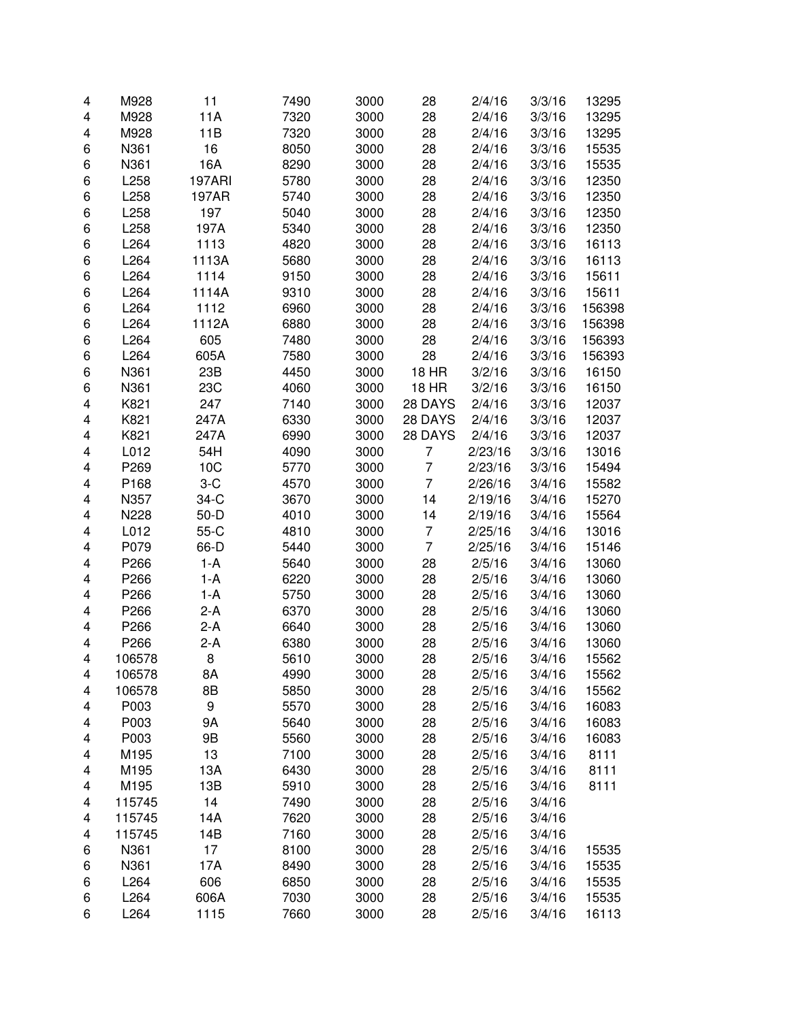| 4      | M928   | 11            | 7490 | 3000 | 28             | 2/4/16             | 3/3/16 | 13295  |
|--------|--------|---------------|------|------|----------------|--------------------|--------|--------|
| 4      | M928   | 11A           | 7320 | 3000 | 28             | 2/4/16             | 3/3/16 | 13295  |
| 4      | M928   | 11B           | 7320 | 3000 | 28             | 2/4/16             | 3/3/16 | 13295  |
| 6      | N361   | 16            | 8050 | 3000 | 28             | 2/4/16             | 3/3/16 | 15535  |
| 6      | N361   | 16A           | 8290 | 3000 | 28             | 2/4/16             | 3/3/16 | 15535  |
| 6      | L258   | <b>197ARI</b> | 5780 | 3000 | 28             | 2/4/16             | 3/3/16 | 12350  |
| 6      | L258   | 197AR         | 5740 | 3000 | 28             | 2/4/16             | 3/3/16 | 12350  |
| 6      | L258   | 197           | 5040 | 3000 | 28             | 2/4/16             | 3/3/16 | 12350  |
| 6      | L258   | 197A          | 5340 | 3000 | 28             | 2/4/16             | 3/3/16 | 12350  |
| 6      | L264   | 1113          | 4820 | 3000 | 28             | 2/4/16             | 3/3/16 | 16113  |
| 6      | L264   | 1113A         | 5680 | 3000 | 28             | 2/4/16             | 3/3/16 | 16113  |
| 6      | L264   | 1114          | 9150 | 3000 | 28             | 2/4/16             | 3/3/16 | 15611  |
| 6      | L264   | 1114A         | 9310 | 3000 | 28             | 2/4/16             | 3/3/16 | 15611  |
| 6      | L264   | 1112          | 6960 | 3000 | 28             | 2/4/16             | 3/3/16 | 156398 |
| 6      | L264   | 1112A         | 6880 | 3000 | 28             | 2/4/16             | 3/3/16 | 156398 |
| 6      | L264   | 605           | 7480 | 3000 | 28             | 2/4/16             | 3/3/16 | 156393 |
| 6      | L264   | 605A          | 7580 | 3000 | 28             | 2/4/16             | 3/3/16 | 156393 |
| 6      | N361   | 23B           | 4450 | 3000 | <b>18 HR</b>   | 3/2/16             | 3/3/16 | 16150  |
| 6      | N361   | 23C           | 4060 | 3000 | <b>18 HR</b>   | 3/2/16             | 3/3/16 | 16150  |
| 4      | K821   | 247           | 7140 | 3000 | 28 DAYS        | 2/4/16             | 3/3/16 | 12037  |
| 4      | K821   | 247A          | 6330 | 3000 | 28 DAYS        | 2/4/16             | 3/3/16 | 12037  |
| 4      | K821   | 247A          | 6990 | 3000 | 28 DAYS        | 2/4/16             | 3/3/16 | 12037  |
| 4      | L012   | 54H           | 4090 | 3000 | 7              | 2/23/16            | 3/3/16 | 13016  |
| 4      | P269   | 10C           | 5770 | 3000 | $\overline{7}$ | 2/23/16            | 3/3/16 | 15494  |
| 4      | P168   | $3-C$         | 4570 | 3000 | $\overline{7}$ | 2/26/16            | 3/4/16 | 15582  |
| 4      | N357   | $34-C$        | 3670 | 3000 | 14             | 2/19/16            | 3/4/16 | 15270  |
|        | N228   | $50 - D$      | 4010 | 3000 | 14             |                    | 3/4/16 | 15564  |
| 4<br>4 | L012   | $55-C$        | 4810 | 3000 | $\overline{7}$ | 2/19/16<br>2/25/16 | 3/4/16 | 13016  |
|        | P079   | 66-D          | 5440 | 3000 | $\overline{7}$ |                    | 3/4/16 | 15146  |
| 4      | P266   | $1-A$         | 5640 | 3000 | 28             | 2/25/16            | 3/4/16 |        |
| 4      |        |               |      |      |                | 2/5/16             |        | 13060  |
| 4      | P266   | $1-A$         | 6220 | 3000 | 28             | 2/5/16             | 3/4/16 | 13060  |
| 4      | P266   | $1-A$         | 5750 | 3000 | 28             | 2/5/16             | 3/4/16 | 13060  |
| 4      | P266   | $2-A$         | 6370 | 3000 | 28             | 2/5/16             | 3/4/16 | 13060  |
| 4      | P266   | $2-A$         | 6640 | 3000 | 28             | 2/5/16             | 3/4/16 | 13060  |
| 4      | P266   | $2-A$         | 6380 | 3000 | 28             | 2/5/16             | 3/4/16 | 13060  |
| 4      | 106578 | 8             | 5610 | 3000 | 28             | 2/5/16             | 3/4/16 | 15562  |
| 4      | 106578 | 8Α            | 4990 | 3000 | 28             | 2/5/16             | 3/4/16 | 15562  |
| 4      | 106578 | 8B            | 5850 | 3000 | 28             | 2/5/16             | 3/4/16 | 15562  |
| 4      | P003   | 9             | 5570 | 3000 | 28             | 2/5/16             | 3/4/16 | 16083  |
| 4      | P003   | 9Α            | 5640 | 3000 | 28             | 2/5/16             | 3/4/16 | 16083  |
| 4      | P003   | 9B            | 5560 | 3000 | 28             | 2/5/16             | 3/4/16 | 16083  |
| 4      | M195   | 13            | 7100 | 3000 | 28             | 2/5/16             | 3/4/16 | 8111   |
| 4      | M195   | 13A           | 6430 | 3000 | 28             | 2/5/16             | 3/4/16 | 8111   |
| 4      | M195   | 13B           | 5910 | 3000 | 28             | 2/5/16             | 3/4/16 | 8111   |
| 4      | 115745 | 14            | 7490 | 3000 | 28             | 2/5/16             | 3/4/16 |        |
| 4      | 115745 | 14A           | 7620 | 3000 | 28             | 2/5/16             | 3/4/16 |        |
| 4      | 115745 | 14B           | 7160 | 3000 | 28             | 2/5/16             | 3/4/16 |        |
| 6      | N361   | 17            | 8100 | 3000 | 28             | 2/5/16             | 3/4/16 | 15535  |
| 6      | N361   | 17A           | 8490 | 3000 | 28             | 2/5/16             | 3/4/16 | 15535  |
| 6      | L264   | 606           | 6850 | 3000 | 28             | 2/5/16             | 3/4/16 | 15535  |
| 6      | L264   | 606A          | 7030 | 3000 | 28             | 2/5/16             | 3/4/16 | 15535  |
| 6      | L264   | 1115          | 7660 | 3000 | 28             | 2/5/16             | 3/4/16 | 16113  |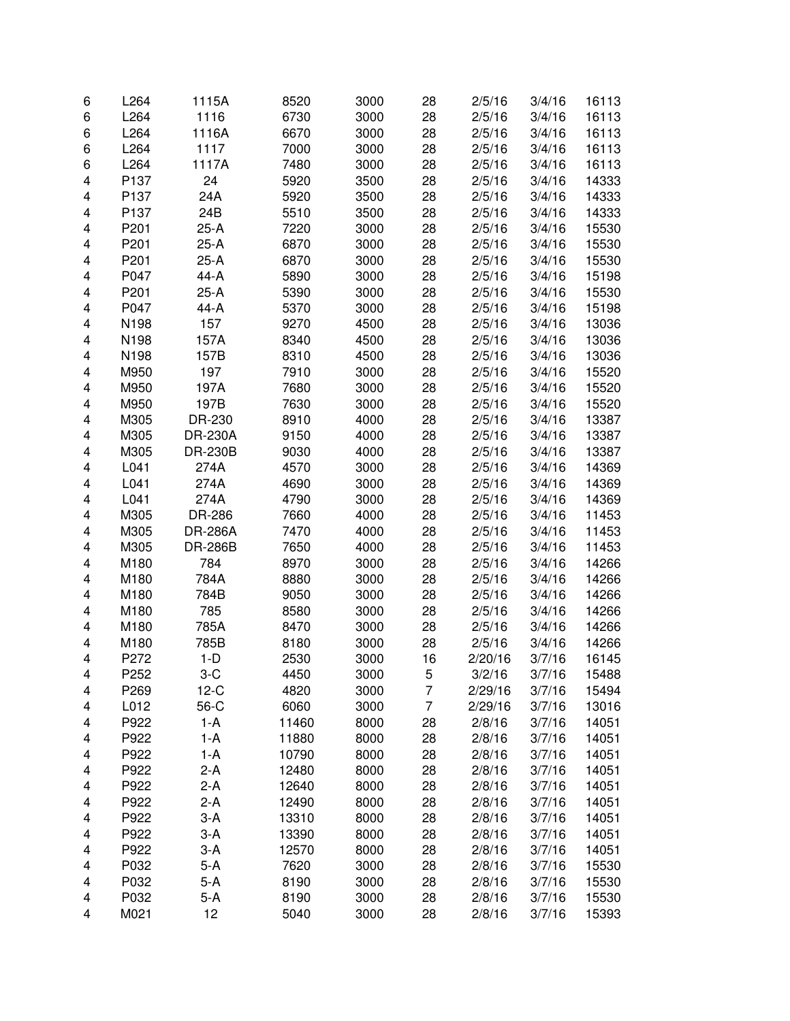| 6                       | L264 | 1115A          | 8520  | 3000 | 28 | 2/5/16  | 3/4/16 | 16113 |
|-------------------------|------|----------------|-------|------|----|---------|--------|-------|
| 6                       | L264 | 1116           | 6730  | 3000 | 28 | 2/5/16  | 3/4/16 | 16113 |
| 6                       | L264 | 1116A          | 6670  | 3000 | 28 | 2/5/16  | 3/4/16 | 16113 |
| 6                       | L264 | 1117           | 7000  | 3000 | 28 | 2/5/16  | 3/4/16 | 16113 |
| 6                       | L264 | 1117A          | 7480  | 3000 | 28 | 2/5/16  | 3/4/16 | 16113 |
| 4                       | P137 | 24             | 5920  | 3500 | 28 | 2/5/16  | 3/4/16 | 14333 |
| 4                       | P137 | 24A            | 5920  | 3500 | 28 | 2/5/16  | 3/4/16 | 14333 |
| 4                       | P137 | 24B            | 5510  | 3500 | 28 | 2/5/16  | 3/4/16 | 14333 |
| 4                       | P201 | 25-A           | 7220  | 3000 | 28 | 2/5/16  | 3/4/16 | 15530 |
| 4                       | P201 | $25-A$         | 6870  | 3000 | 28 | 2/5/16  | 3/4/16 | 15530 |
| 4                       | P201 | 25-A           | 6870  | 3000 | 28 | 2/5/16  | 3/4/16 | 15530 |
| 4                       | P047 | 44-A           | 5890  | 3000 | 28 | 2/5/16  | 3/4/16 | 15198 |
| 4                       | P201 | 25-A           | 5390  | 3000 | 28 | 2/5/16  | 3/4/16 | 15530 |
| 4                       | P047 | 44-A           | 5370  | 3000 | 28 | 2/5/16  | 3/4/16 | 15198 |
| 4                       | N198 | 157            | 9270  | 4500 | 28 | 2/5/16  | 3/4/16 | 13036 |
| 4                       | N198 | 157A           | 8340  | 4500 | 28 | 2/5/16  | 3/4/16 | 13036 |
| 4                       | N198 | 157B           | 8310  | 4500 | 28 | 2/5/16  | 3/4/16 | 13036 |
| $\overline{\mathbf{4}}$ |      | 197            | 7910  | 3000 |    | 2/5/16  | 3/4/16 |       |
|                         | M950 |                |       |      | 28 |         |        | 15520 |
| 4                       | M950 | 197A           | 7680  | 3000 | 28 | 2/5/16  | 3/4/16 | 15520 |
| 4                       | M950 | 197B           | 7630  | 3000 | 28 | 2/5/16  | 3/4/16 | 15520 |
| 4                       | M305 | DR-230         | 8910  | 4000 | 28 | 2/5/16  | 3/4/16 | 13387 |
| 4                       | M305 | <b>DR-230A</b> | 9150  | 4000 | 28 | 2/5/16  | 3/4/16 | 13387 |
| 4                       | M305 | <b>DR-230B</b> | 9030  | 4000 | 28 | 2/5/16  | 3/4/16 | 13387 |
| 4                       | L041 | 274A           | 4570  | 3000 | 28 | 2/5/16  | 3/4/16 | 14369 |
| 4                       | L041 | 274A           | 4690  | 3000 | 28 | 2/5/16  | 3/4/16 | 14369 |
| 4                       | L041 | 274A           | 4790  | 3000 | 28 | 2/5/16  | 3/4/16 | 14369 |
| 4                       | M305 | DR-286         | 7660  | 4000 | 28 | 2/5/16  | 3/4/16 | 11453 |
| 4                       | M305 | <b>DR-286A</b> | 7470  | 4000 | 28 | 2/5/16  | 3/4/16 | 11453 |
| 4                       | M305 | <b>DR-286B</b> | 7650  | 4000 | 28 | 2/5/16  | 3/4/16 | 11453 |
| 4                       | M180 | 784            | 8970  | 3000 | 28 | 2/5/16  | 3/4/16 | 14266 |
| 4                       | M180 | 784A           | 8880  | 3000 | 28 | 2/5/16  | 3/4/16 | 14266 |
| 4                       | M180 | 784B           | 9050  | 3000 | 28 | 2/5/16  | 3/4/16 | 14266 |
| 4                       | M180 | 785            | 8580  | 3000 | 28 | 2/5/16  | 3/4/16 | 14266 |
| 4                       | M180 | 785A           | 8470  | 3000 | 28 | 2/5/16  | 3/4/16 | 14266 |
| 4                       | M180 | 785B           | 8180  | 3000 | 28 | 2/5/16  | 3/4/16 | 14266 |
| 4                       | P272 | $1-D$          | 2530  | 3000 | 16 | 2/20/16 | 3/7/16 | 16145 |
| 4                       | P252 | $3-C$          | 4450  | 3000 | 5  | 3/2/16  | 3/7/16 | 15488 |
| 4                       | P269 | $12-C$         | 4820  | 3000 | 7  | 2/29/16 | 3/7/16 | 15494 |
| 4                       | L012 | 56-C           | 6060  | 3000 | 7  | 2/29/16 | 3/7/16 | 13016 |
| 4                       | P922 | 1-A            | 11460 | 8000 | 28 | 2/8/16  | 3/7/16 | 14051 |
| 4                       | P922 | $1-A$          | 11880 | 8000 | 28 | 2/8/16  | 3/7/16 | 14051 |
| 4                       | P922 | 1-A            | 10790 | 8000 | 28 | 2/8/16  | 3/7/16 | 14051 |
| 4                       | P922 | $2-A$          | 12480 | 8000 | 28 | 2/8/16  | 3/7/16 | 14051 |
| 4                       | P922 | $2-A$          | 12640 | 8000 | 28 | 2/8/16  | 3/7/16 | 14051 |
| 4                       | P922 | $2-A$          | 12490 | 8000 | 28 | 2/8/16  | 3/7/16 | 14051 |
| 4                       | P922 | $3-A$          | 13310 | 8000 | 28 | 2/8/16  | 3/7/16 | 14051 |
|                         | P922 | $3-A$          |       | 8000 | 28 |         | 3/7/16 | 14051 |
| 4                       | P922 | $3-A$          | 13390 | 8000 | 28 | 2/8/16  | 3/7/16 | 14051 |
| 4                       |      |                | 12570 |      |    | 2/8/16  |        |       |
| 4                       | P032 | $5-A$          | 7620  | 3000 | 28 | 2/8/16  | 3/7/16 | 15530 |
| 4                       | P032 | $5-A$          | 8190  | 3000 | 28 | 2/8/16  | 3/7/16 | 15530 |
| 4                       | P032 | $5-A$          | 8190  | 3000 | 28 | 2/8/16  | 3/7/16 | 15530 |
| 4                       | M021 | 12             | 5040  | 3000 | 28 | 2/8/16  | 3/7/16 | 15393 |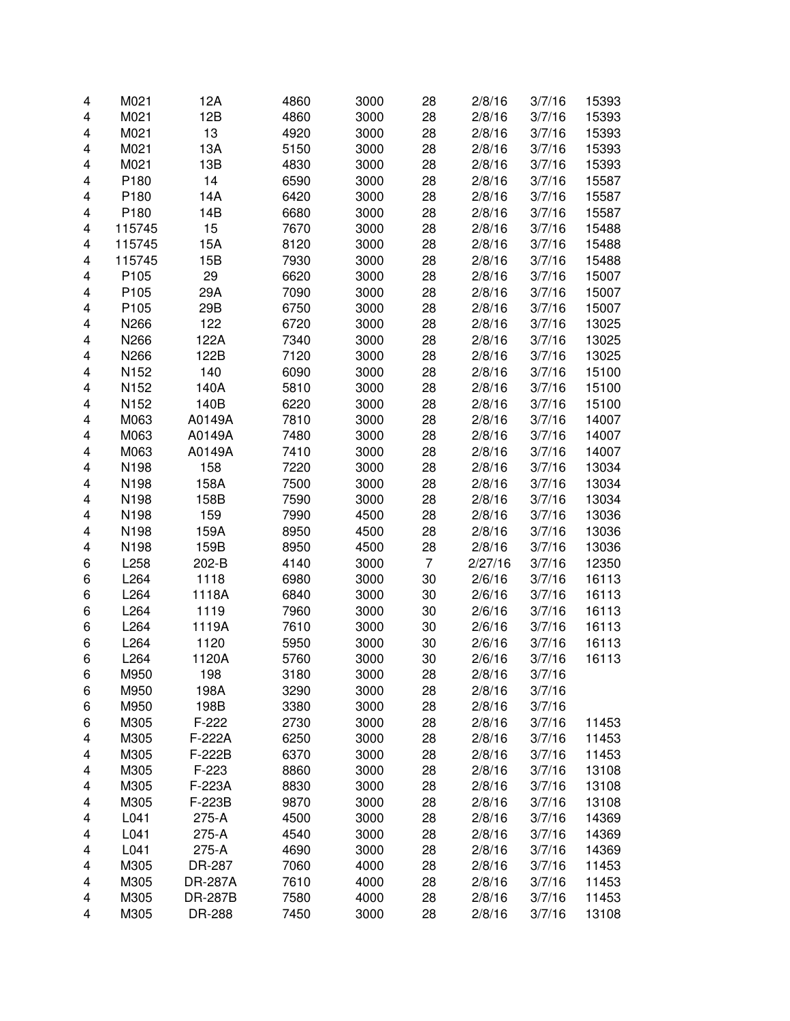| 4                       | M021             | 12A     | 4860 | 3000 | 28             | 2/8/16  | 3/7/16 | 15393 |
|-------------------------|------------------|---------|------|------|----------------|---------|--------|-------|
| 4                       | M021             | 12B     | 4860 | 3000 | 28             | 2/8/16  | 3/7/16 | 15393 |
| 4                       | M021             | 13      | 4920 | 3000 | 28             | 2/8/16  | 3/7/16 | 15393 |
| 4                       | M021             | 13A     | 5150 | 3000 | 28             | 2/8/16  | 3/7/16 | 15393 |
| 4                       | M021             | 13B     | 4830 | 3000 | 28             | 2/8/16  | 3/7/16 | 15393 |
| 4                       | P180             | 14      | 6590 | 3000 | 28             | 2/8/16  | 3/7/16 | 15587 |
| 4                       | P <sub>180</sub> | 14A     | 6420 | 3000 | 28             | 2/8/16  | 3/7/16 | 15587 |
| 4                       | P180             | 14B     | 6680 | 3000 | 28             | 2/8/16  | 3/7/16 | 15587 |
| 4                       | 115745           | 15      | 7670 | 3000 | 28             | 2/8/16  | 3/7/16 | 15488 |
| 4                       | 115745           | 15A     | 8120 | 3000 | 28             | 2/8/16  | 3/7/16 | 15488 |
| 4                       | 115745           | 15B     | 7930 | 3000 | 28             | 2/8/16  | 3/7/16 | 15488 |
| 4                       | P <sub>105</sub> | 29      | 6620 | 3000 | 28             | 2/8/16  | 3/7/16 | 15007 |
| 4                       | P105             | 29A     | 7090 | 3000 | 28             | 2/8/16  | 3/7/16 | 15007 |
| 4                       | P <sub>105</sub> | 29B     | 6750 | 3000 | 28             | 2/8/16  | 3/7/16 |       |
|                         |                  |         |      |      |                |         |        | 15007 |
| $\overline{\mathbf{4}}$ | N266             | 122     | 6720 | 3000 | 28             | 2/8/16  | 3/7/16 | 13025 |
| 4                       | N266             | 122A    | 7340 | 3000 | 28             | 2/8/16  | 3/7/16 | 13025 |
| 4                       | N266             | 122B    | 7120 | 3000 | 28             | 2/8/16  | 3/7/16 | 13025 |
| 4                       | N152             | 140     | 6090 | 3000 | 28             | 2/8/16  | 3/7/16 | 15100 |
| 4                       | N152             | 140A    | 5810 | 3000 | 28             | 2/8/16  | 3/7/16 | 15100 |
| 4                       | N152             | 140B    | 6220 | 3000 | 28             | 2/8/16  | 3/7/16 | 15100 |
| 4                       | M063             | A0149A  | 7810 | 3000 | 28             | 2/8/16  | 3/7/16 | 14007 |
| 4                       | M063             | A0149A  | 7480 | 3000 | 28             | 2/8/16  | 3/7/16 | 14007 |
| 4                       | M063             | A0149A  | 7410 | 3000 | 28             | 2/8/16  | 3/7/16 | 14007 |
| 4                       | N198             | 158     | 7220 | 3000 | 28             | 2/8/16  | 3/7/16 | 13034 |
| 4                       | N198             | 158A    | 7500 | 3000 | 28             | 2/8/16  | 3/7/16 | 13034 |
| 4                       | N198             | 158B    | 7590 | 3000 | 28             | 2/8/16  | 3/7/16 | 13034 |
| 4                       | N198             | 159     | 7990 | 4500 | 28             | 2/8/16  | 3/7/16 | 13036 |
| 4                       | N198             | 159A    | 8950 | 4500 | 28             | 2/8/16  | 3/7/16 | 13036 |
| 4                       | N198             | 159B    | 8950 | 4500 | 28             | 2/8/16  | 3/7/16 | 13036 |
| 6                       | L258             | 202-B   | 4140 | 3000 | $\overline{7}$ | 2/27/16 | 3/7/16 | 12350 |
| 6                       | L264             | 1118    | 6980 | 3000 | 30             | 2/6/16  | 3/7/16 | 16113 |
| 6                       | L264             | 1118A   | 6840 | 3000 | 30             | 2/6/16  | 3/7/16 | 16113 |
| 6                       | L264             | 1119    | 7960 | 3000 | 30             | 2/6/16  | 3/7/16 | 16113 |
| 6                       | L264             | 1119A   | 7610 | 3000 | 30             | 2/6/16  | 3/7/16 | 16113 |
| 6                       | L264             | 1120    | 5950 | 3000 | 30             | 2/6/16  | 3/7/16 | 16113 |
| 6                       | L264             | 1120A   | 5760 | 3000 | 30             | 2/6/16  | 3/7/16 | 16113 |
| 6                       | M950             | 198     | 3180 | 3000 | 28             | 2/8/16  | 3/7/16 |       |
| 6                       | M950             | 198A    | 3290 | 3000 | 28             | 2/8/16  | 3/7/16 |       |
| 6                       | M950             | 198B    | 3380 | 3000 | 28             | 2/8/16  | 3/7/16 |       |
| 6                       | M305             | F-222   | 2730 | 3000 | 28             | 2/8/16  | 3/7/16 | 11453 |
| 4                       | M305             | F-222A  | 6250 | 3000 | 28             | 2/8/16  | 3/7/16 | 11453 |
| 4                       | M305             | F-222B  | 6370 | 3000 | 28             | 2/8/16  | 3/7/16 | 11453 |
| 4                       | M305             | F-223   | 8860 | 3000 | 28             | 2/8/16  | 3/7/16 | 13108 |
| 4                       | M305             | F-223A  | 8830 | 3000 | 28             | 2/8/16  | 3/7/16 | 13108 |
| 4                       | M305             | F-223B  | 9870 | 3000 | 28             | 2/8/16  | 3/7/16 | 13108 |
| 4                       | L041             | 275-A   | 4500 | 3000 | 28             | 2/8/16  | 3/7/16 | 14369 |
| 4                       | L041             | 275-A   | 4540 | 3000 | 28             | 2/8/16  | 3/7/16 | 14369 |
| 4                       | L041             | 275-A   | 4690 | 3000 | 28             | 2/8/16  | 3/7/16 | 14369 |
| 4                       | M305             | DR-287  | 7060 | 4000 | 28             | 2/8/16  | 3/7/16 | 11453 |
| 4                       | M305             | DR-287A | 7610 | 4000 | 28             | 2/8/16  | 3/7/16 | 11453 |
| 4                       | M305             | DR-287B | 7580 | 4000 | 28             | 2/8/16  | 3/7/16 | 11453 |
| 4                       | M305             | DR-288  | 7450 | 3000 | 28             | 2/8/16  | 3/7/16 | 13108 |
|                         |                  |         |      |      |                |         |        |       |